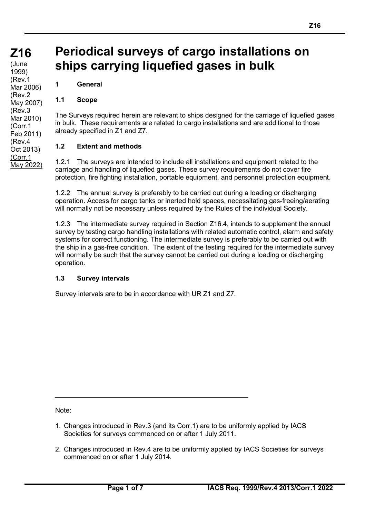**(cont)** (June 1999) (Rev.1 Mar 2006) (Rev.2 May 2007) (Rev.3 Mar 2010) (Corr.1 Feb 2011) (Rev.4 Oct 2013) (Corr.1 May 2022)

# **Periodical surveys of cargo installations on ships carrying liquefied gases in bulk**

**1 General**

## **1.1 Scope**

The Surveys required herein are relevant to ships designed for the carriage of liquefied gases in bulk. These requirements are related to cargo installations and are additional to those already specified in Z1 and Z7.

## **1.2 Extent and methods**

1.2.1 The surveys are intended to include all installations and equipment related to the carriage and handling of liquefied gases. These survey requirements do not cover fire protection, fire fighting installation, portable equipment, and personnel protection equipment.

1.2.2 The annual survey is preferably to be carried out during a loading or discharging operation. Access for cargo tanks or inerted hold spaces, necessitating gas-freeing/aerating will normally not be necessary unless required by the Rules of the individual Society.

1.2.3 The intermediate survey required in Section Z16.4, intends to supplement the annual survey by testing cargo handling installations with related automatic control, alarm and safety systems for correct functioning. The intermediate survey is preferably to be carried out with the ship in a gas-free condition. The extent of the testing required for the intermediate survey will normally be such that the survey cannot be carried out during a loading or discharging operation.

## **1.3 Survey intervals**

Survey intervals are to be in accordance with UR Z1 and Z7.

Note:

- 1. Changes introduced in Rev.3 (and its Corr.1) are to be uniformly applied by IACS Societies for surveys commenced on or after 1 July 2011.
- 2. Changes introduced in Rev.4 are to be uniformly applied by IACS Societies for surveys commenced on or after 1 July 2014.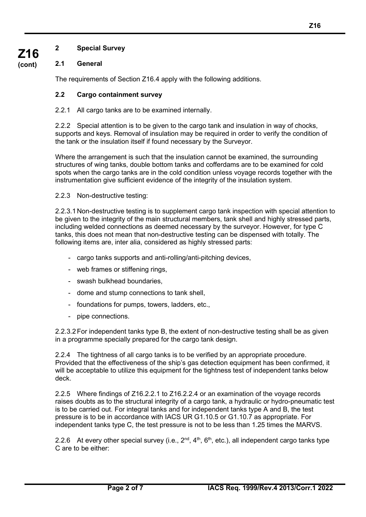**2 Special Survey**

# **2.1 General**

**Z16 (cont)**

The requirements of Section Z16.4 apply with the following additions.

## **2.2 Cargo containment survey**

## 2.2.1 All cargo tanks are to be examined internally.

2.2.2 Special attention is to be given to the cargo tank and insulation in way of chocks, supports and keys. Removal of insulation may be required in order to verify the condition of the tank or the insulation itself if found necessary by the Surveyor.

Where the arrangement is such that the insulation cannot be examined, the surrounding structures of wing tanks, double bottom tanks and cofferdams are to be examined for cold spots when the cargo tanks are in the cold condition unless voyage records together with the instrumentation give sufficient evidence of the integrity of the insulation system.

## 2.2.3 Non-destructive testing:

2.2.3.1 Non-destructive testing is to supplement cargo tank inspection with special attention to be given to the integrity of the main structural members, tank shell and highly stressed parts, including welded connections as deemed necessary by the surveyor. However, for type C tanks, this does not mean that non-destructive testing can be dispensed with totally. The following items are, inter alia, considered as highly stressed parts:

- cargo tanks supports and anti-rolling/anti-pitching devices,
- web frames or stiffening rings,
- swash bulkhead boundaries,
- dome and stump connections to tank shell,
- foundations for pumps, towers, ladders, etc.,
- pipe connections.

2.2.3.2For independent tanks type B, the extent of non-destructive testing shall be as given in a programme specially prepared for the cargo tank design.

2.2.4 The tightness of all cargo tanks is to be verified by an appropriate procedure. Provided that the effectiveness of the ship's gas detection equipment has been confirmed, it will be acceptable to utilize this equipment for the tightness test of independent tanks below deck.

2.2.5 Where findings of Z16.2.2.1 to Z16.2.2.4 or an examination of the voyage records raises doubts as to the structural integrity of a cargo tank, a hydraulic or hydro-pneumatic test is to be carried out. For integral tanks and for independent tanks type A and B, the test pressure is to be in accordance with IACS UR G1.10.5 or G1.10.7 as appropriate. For independent tanks type C, the test pressure is not to be less than 1.25 times the MARVS.

2.2.6 At every other special survey (i.e.,  $2^{nd}$ ,  $4^{th}$ ,  $6^{th}$ , etc.), all independent cargo tanks type C are to be either: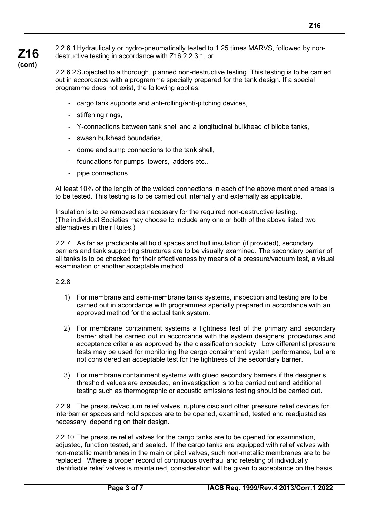**Z16** 2.2.6.1 Hydraulically or hydro-pneumatically tested to 1.25 times MARVS, followed by nondestructive testing in accordance with Z16.2.2.3.1, or

> 2.2.6.2Subjected to a thorough, planned non-destructive testing. This testing is to be carried out in accordance with a programme specially prepared for the tank design. If a special programme does not exist, the following applies:

- cargo tank supports and anti-rolling/anti-pitching devices,
- stiffening rings,

**(cont)**

- Y-connections between tank shell and a longitudinal bulkhead of bilobe tanks,
- swash bulkhead boundaries,
- dome and sump connections to the tank shell,
- foundations for pumps, towers, ladders etc.,
- pipe connections.

At least 10% of the length of the welded connections in each of the above mentioned areas is to be tested. This testing is to be carried out internally and externally as applicable.

Insulation is to be removed as necessary for the required non-destructive testing. (The individual Societies may choose to include any one or both of the above listed two alternatives in their Rules.)

2.2.7 As far as practicable all hold spaces and hull insulation (if provided), secondary barriers and tank supporting structures are to be visually examined. The secondary barrier of all tanks is to be checked for their effectiveness by means of a pressure/vacuum test, a visual examination or another acceptable method.

## 2.2.8

- 1) For membrane and semi-membrane tanks systems, inspection and testing are to be carried out in accordance with programmes specially prepared in accordance with an approved method for the actual tank system.
- 2) For membrane containment systems a tightness test of the primary and secondary barrier shall be carried out in accordance with the system designers' procedures and acceptance criteria as approved by the classification society. Low differential pressure tests may be used for monitoring the cargo containment system performance, but are not considered an acceptable test for the tightness of the secondary barrier.
- 3) For membrane containment systems with glued secondary barriers if the designer's threshold values are exceeded, an investigation is to be carried out and additional testing such as thermographic or acoustic emissions testing should be carried out.

2.2.9 The pressure/vacuum relief valves, rupture disc and other pressure relief devices for interbarrier spaces and hold spaces are to be opened, examined, tested and readjusted as necessary, depending on their design.

2.2.10 The pressure relief valves for the cargo tanks are to be opened for examination, adjusted, function tested, and sealed. If the cargo tanks are equipped with relief valves with non-metallic membranes in the main or pilot valves, such non-metallic membranes are to be replaced. Where a proper record of continuous overhaul and retesting of individually identifiable relief valves is maintained, consideration will be given to acceptance on the basis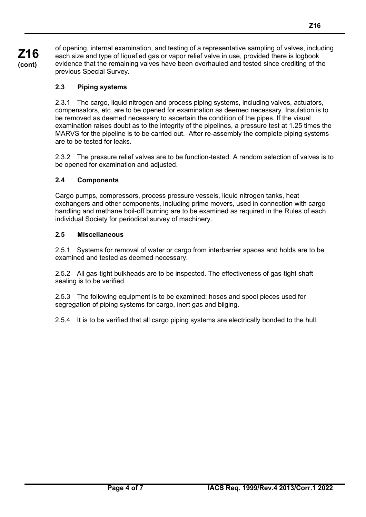**Z16 (cont)**

of opening, internal examination, and testing of a representative sampling of valves, including each size and type of liquefied gas or vapor relief valve in use, provided there is logbook evidence that the remaining valves have been overhauled and tested since crediting of the previous Special Survey.

# **2.3 Piping systems**

2.3.1 The cargo, liquid nitrogen and process piping systems, including valves, actuators, compensators, etc. are to be opened for examination as deemed necessary. Insulation is to be removed as deemed necessary to ascertain the condition of the pipes. If the visual examination raises doubt as to the integrity of the pipelines, a pressure test at 1.25 times the MARVS for the pipeline is to be carried out. After re-assembly the complete piping systems are to be tested for leaks.

2.3.2 The pressure relief valves are to be function-tested. A random selection of valves is to be opened for examination and adjusted.

## **2.4 Components**

Cargo pumps, compressors, process pressure vessels, liquid nitrogen tanks, heat exchangers and other components, including prime movers, used in connection with cargo handling and methane boil-off burning are to be examined as required in the Rules of each individual Society for periodical survey of machinery.

## **2.5 Miscellaneous**

2.5.1 Systems for removal of water or cargo from interbarrier spaces and holds are to be examined and tested as deemed necessary.

2.5.2 All gas-tight bulkheads are to be inspected. The effectiveness of gas-tight shaft sealing is to be verified.

2.5.3 The following equipment is to be examined: hoses and spool pieces used for segregation of piping systems for cargo, inert gas and bilging.

2.5.4 It is to be verified that all cargo piping systems are electrically bonded to the hull.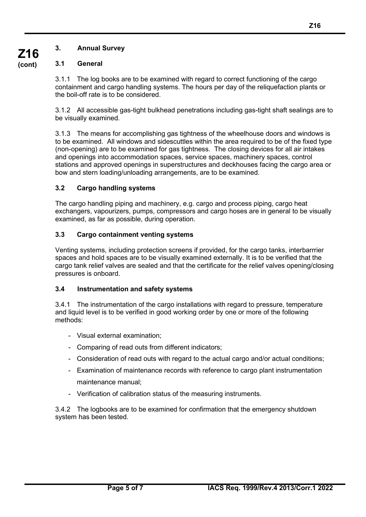## **3.1 General**

3.1.1 The log books are to be examined with regard to correct functioning of the cargo containment and cargo handling systems. The hours per day of the reliquefaction plants or the boil-off rate is to be considered.

3.1.2 All accessible gas-tight bulkhead penetrations including gas-tight shaft sealings are to be visually examined.

3.1.3 The means for accomplishing gas tightness of the wheelhouse doors and windows is to be examined. All windows and sidescuttles within the area required to be of the fixed type (non-opening) are to be examined for gas tightness. The closing devices for all air intakes and openings into accommodation spaces, service spaces, machinery spaces, control stations and approved openings in superstructures and deckhouses facing the cargo area or bow and stern loading/unloading arrangements, are to be examined.

## **3.2 Cargo handling systems**

The cargo handling piping and machinery, e.g. cargo and process piping, cargo heat exchangers, vapourizers, pumps, compressors and cargo hoses are in general to be visually examined, as far as possible, during operation.

## **3.3 Cargo containment venting systems**

Venting systems, including protection screens if provided, for the cargo tanks, interbarrrier spaces and hold spaces are to be visually examined externally. It is to be verified that the cargo tank relief valves are sealed and that the certificate for the relief valves opening/closing pressures is onboard.

## **3.4 Instrumentation and safety systems**

3.4.1 The instrumentation of the cargo installations with regard to pressure, temperature and liquid level is to be verified in good working order by one or more of the following methods:

- Visual external examination;
- Comparing of read outs from different indicators;
- Consideration of read outs with regard to the actual cargo and/or actual conditions;
- Examination of maintenance records with reference to cargo plant instrumentation maintenance manual;
- Verification of calibration status of the measuring instruments.

3.4.2 The logbooks are to be examined for confirmation that the emergency shutdown system has been tested.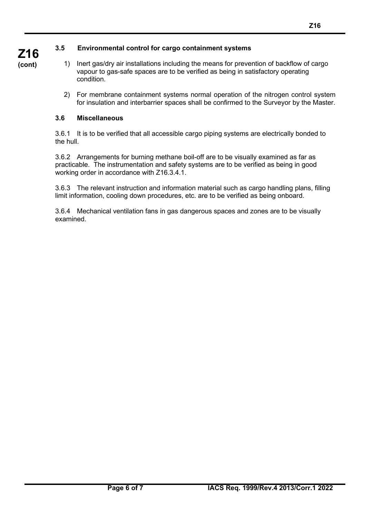# **3.5 Environmental control for cargo containment systems**

- 1) Inert gas/dry air installations including the means for prevention of backflow of cargo vapour to gas-safe spaces are to be verified as being in satisfactory operating condition.
	- 2) For membrane containment systems normal operation of the nitrogen control system for insulation and interbarrier spaces shall be confirmed to the Surveyor by the Master.

# **3.6 Miscellaneous**

3.6.1 It is to be verified that all accessible cargo piping systems are electrically bonded to the hull.

3.6.2 Arrangements for burning methane boil-off are to be visually examined as far as practicable. The instrumentation and safety systems are to be verified as being in good working order in accordance with Z16.3.4.1.

3.6.3 The relevant instruction and information material such as cargo handling plans, filling limit information, cooling down procedures, etc. are to be verified as being onboard.

3.6.4 Mechanical ventilation fans in gas dangerous spaces and zones are to be visually examined.